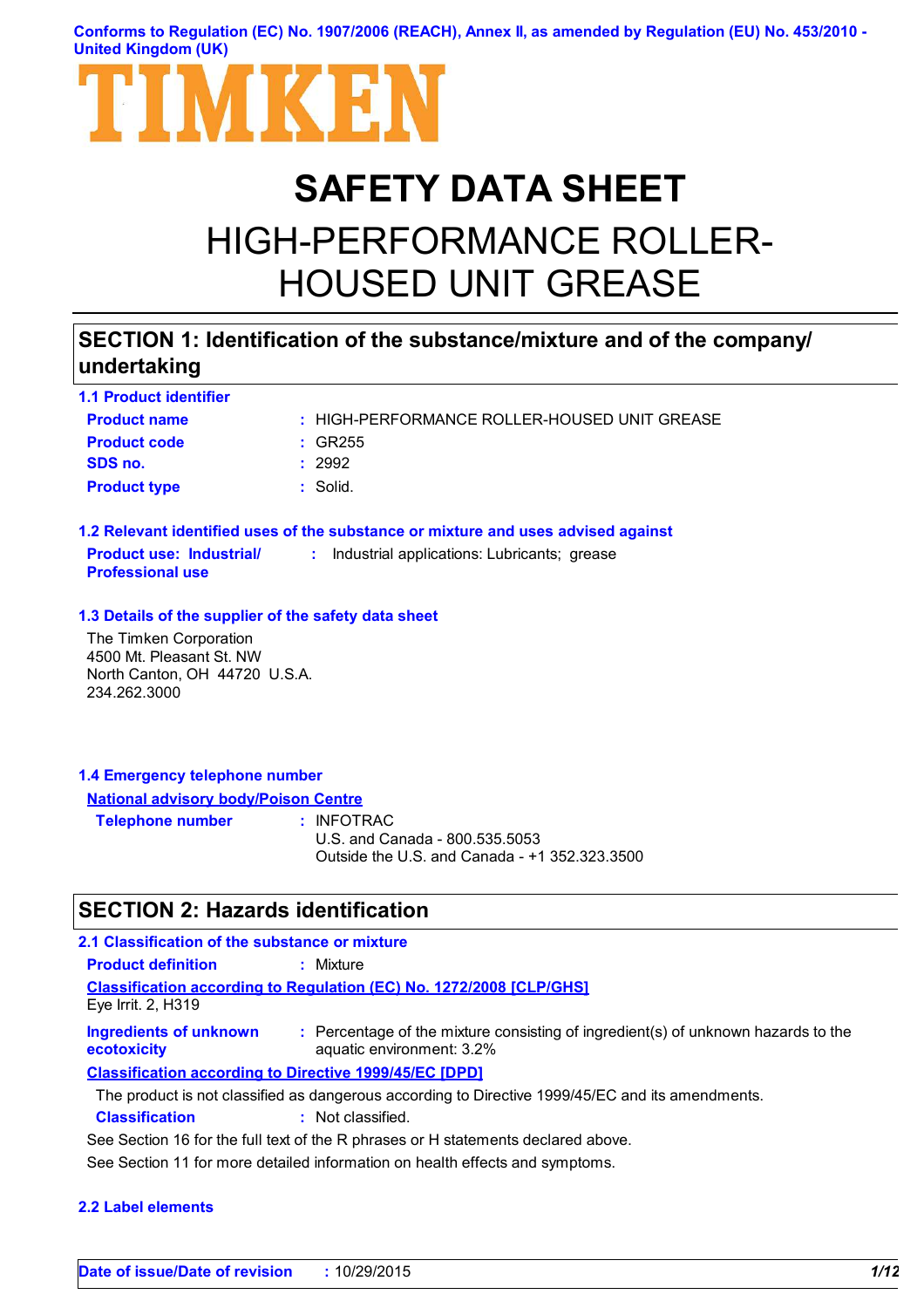**Conforms to Regulation (EC) No. 1907/2006 (REACH), Annex II, as amended by Regulation (EU) No. 453/2010 - United Kingdom (UK)**



# **SAFETY DATA SHEET**

# HIGH-PERFORMANCE ROLLER-HOUSED UNIT GREASE

# **SECTION 1: Identification of the substance/mixture and of the company/ undertaking**

| <b>1.1 Product identifier</b>                              |                                                                                   |
|------------------------------------------------------------|-----------------------------------------------------------------------------------|
| <b>Product name</b>                                        | : HIGH-PERFORMANCE ROLLER-HOUSED UNIT GREASE                                      |
| <b>Product code</b>                                        | $\div$ GR255                                                                      |
| SDS no.                                                    | : 2992                                                                            |
| <b>Product type</b>                                        | $:$ Solid.                                                                        |
|                                                            | 1.2 Relevant identified uses of the substance or mixture and uses advised against |
| <b>Product use: Industrial/</b><br><b>Professional use</b> | : Industrial applications: Lubricants; grease                                     |
| 1.3 Details of the supplier of the safety data sheet       |                                                                                   |
| The Timken Corporation                                     |                                                                                   |
| 4500 Mt. Pleasant St. NW                                   |                                                                                   |
| North Canton, OH 44720 U.S.A.                              |                                                                                   |
| 234.262.3000                                               |                                                                                   |

### **1.4 Emergency telephone number National advisory body/Poison Centre**

**Telephone number :**

: INFOTRAC U.S. and Canada - 800.535.5053 Outside the U.S. and Canada - +1 352.323.3500

# **SECTION 2: Hazards identification**

| 2.1 Classification of the substance or mixture                |                                                                                                                |
|---------------------------------------------------------------|----------------------------------------------------------------------------------------------------------------|
| <b>Product definition</b>                                     | : Mixture                                                                                                      |
| Eye Irrit. $2, H319$                                          | <b>Classification according to Regulation (EC) No. 1272/2008 [CLP/GHS]</b>                                     |
| Ingredients of unknown<br>ecotoxicity                         | : Percentage of the mixture consisting of ingredient(s) of unknown hazards to the<br>aquatic environment: 3.2% |
| <b>Classification according to Directive 1999/45/EC [DPD]</b> |                                                                                                                |
|                                                               | The product is not classified as dangerous according to Directive 1999/45/EC and its amendments.               |
| <b>Classification</b>                                         | : Not classified.                                                                                              |
|                                                               | See Section 16 for the full text of the P phrases or H statements declared above                               |

See Section 16 for the full text of the R phrases or H statements declared above.

See Section 11 for more detailed information on health effects and symptoms.

### **2.2 Label elements**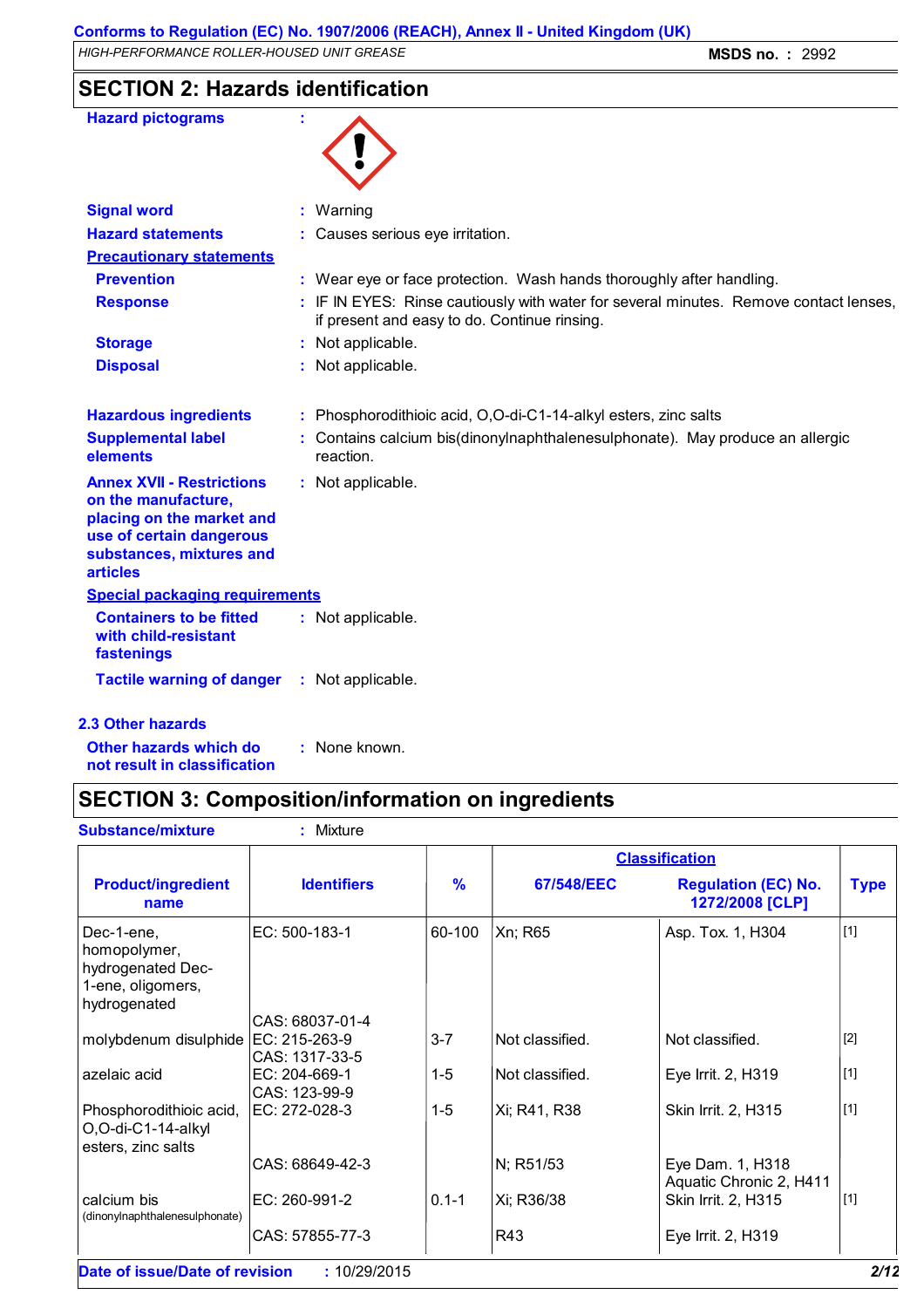*HIGH-PERFORMANCE ROLLER-HOUSED UNIT GREASE* **MSDS no. :** 2992

# **SECTION 2: Hazards identification**

| <b>Hazard pictograms</b>                                                                                                                                        |                                                                                                                                       |
|-----------------------------------------------------------------------------------------------------------------------------------------------------------------|---------------------------------------------------------------------------------------------------------------------------------------|
| <b>Signal word</b>                                                                                                                                              | : Warning                                                                                                                             |
| <b>Hazard statements</b>                                                                                                                                        | : Causes serious eye irritation.                                                                                                      |
| <b>Precautionary statements</b>                                                                                                                                 |                                                                                                                                       |
| <b>Prevention</b>                                                                                                                                               | : Wear eye or face protection. Wash hands thoroughly after handling.                                                                  |
| <b>Response</b>                                                                                                                                                 | : IF IN EYES: Rinse cautiously with water for several minutes. Remove contact lenses,<br>if present and easy to do. Continue rinsing. |
| <b>Storage</b>                                                                                                                                                  | : Not applicable.                                                                                                                     |
| <b>Disposal</b>                                                                                                                                                 | : Not applicable.                                                                                                                     |
| <b>Hazardous ingredients</b>                                                                                                                                    | : Phosphorodithioic acid, O,O-di-C1-14-alkyl esters, zinc salts                                                                       |
| <b>Supplemental label</b><br>elements                                                                                                                           | Contains calcium bis(dinonylnaphthalenesulphonate). May produce an allergic<br>reaction.                                              |
| <b>Annex XVII - Restrictions</b><br>on the manufacture,<br>placing on the market and<br>use of certain dangerous<br>substances, mixtures and<br><b>articles</b> | : Not applicable.                                                                                                                     |
| <b>Special packaging requirements</b>                                                                                                                           |                                                                                                                                       |
| <b>Containers to be fitted</b><br>with child-resistant<br>fastenings                                                                                            | : Not applicable.                                                                                                                     |
| <b>Tactile warning of danger</b>                                                                                                                                | : Not applicable.                                                                                                                     |
| <b>2.3 Other hazards</b>                                                                                                                                        |                                                                                                                                       |

**Other hazards which do : not result in classification** : None known.

# **SECTION 3: Composition/information on ingredients**

| <b>Substance/mixture</b>                                                             | : Mixture                                          |           |                 |                                               |             |
|--------------------------------------------------------------------------------------|----------------------------------------------------|-----------|-----------------|-----------------------------------------------|-------------|
|                                                                                      |                                                    |           |                 | <b>Classification</b>                         |             |
| <b>Product/ingredient</b><br>name                                                    | <b>Identifiers</b>                                 | $\%$      | 67/548/EEC      | <b>Regulation (EC) No.</b><br>1272/2008 [CLP] | <b>Type</b> |
| Dec-1-ene,<br>homopolymer,<br>hydrogenated Dec-<br>1-ene, oligomers,<br>hydrogenated | EC: 500-183-1                                      | 60-100    | Xn; R65         | Asp. Tox. 1, H304                             | $\vert$ [1] |
| molybdenum disulphide                                                                | CAS: 68037-01-4<br>EC: 215-263-9<br>CAS: 1317-33-5 | $3 - 7$   | Not classified. | Not classified.                               | $[2]$       |
| azelaic acid                                                                         | EC: 204-669-1<br>CAS: 123-99-9                     | $1 - 5$   | Not classified. | Eye Irrit. 2, H319                            | $[1]$       |
| Phosphorodithioic acid,<br>O,O-di-C1-14-alkyl<br>esters, zinc salts                  | EC: 272-028-3                                      | $1 - 5$   | Xi; R41, R38    | Skin Irrit. 2, H315                           | $[1]$       |
|                                                                                      | CAS: 68649-42-3                                    |           | N; R51/53       | Eye Dam. 1, H318<br>Aquatic Chronic 2, H411   |             |
| calcium bis<br>(dinonylnaphthalenesulphonate)                                        | EC: 260-991-2                                      | $0.1 - 1$ | Xi; R36/38      | Skin Irrit. 2, H315                           | $[1]$       |
|                                                                                      | CAS: 57855-77-3                                    |           | R43             | Eye Irrit. 2, H319                            |             |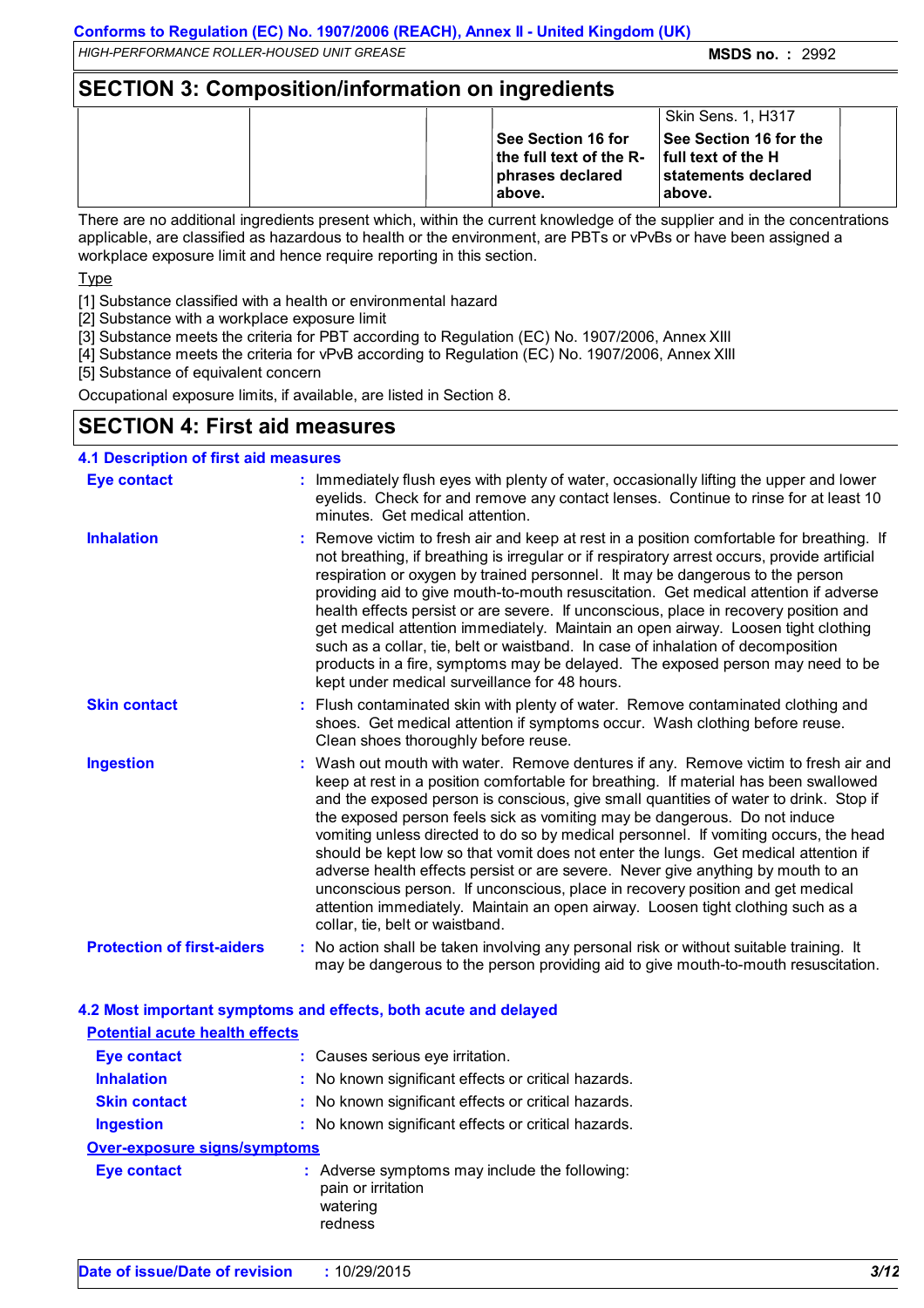*HIGH-PERFORMANCE ROLLER-HOUSED UNIT GREASE* **MSDS no. :** 2992

### **SECTION 3: Composition/information on ingredients**

|  |                                                                                  | Skin Sens. 1, H317                                                                                   |  |
|--|----------------------------------------------------------------------------------|------------------------------------------------------------------------------------------------------|--|
|  | ∣See Section 16 for<br>∣ the full text of the R-<br>∣ phrases declared<br>above. | <b>See Section 16 for the</b><br><b>Ifull text of the H</b><br><b>statements declared</b><br>labove. |  |

There are no additional ingredients present which, within the current knowledge of the supplier and in the concentrations applicable, are classified as hazardous to health or the environment, are PBTs or vPvBs or have been assigned a workplace exposure limit and hence require reporting in this section.

**Type** 

[1] Substance classified with a health or environmental hazard

[2] Substance with a workplace exposure limit

[3] Substance meets the criteria for PBT according to Regulation (EC) No. 1907/2006, Annex XIII

[4] Substance meets the criteria for vPvB according to Regulation (EC) No. 1907/2006, Annex XIII

[5] Substance of equivalent concern

Occupational exposure limits, if available, are listed in Section 8.

# **SECTION 4: First aid measures**

| <b>4.1 Description of first aid measures</b> |                                                                                                                                                                                                                                                                                                                                                                                                                                                                                                                                                                                                                                                                                                                                                                                                                              |
|----------------------------------------------|------------------------------------------------------------------------------------------------------------------------------------------------------------------------------------------------------------------------------------------------------------------------------------------------------------------------------------------------------------------------------------------------------------------------------------------------------------------------------------------------------------------------------------------------------------------------------------------------------------------------------------------------------------------------------------------------------------------------------------------------------------------------------------------------------------------------------|
| <b>Eye contact</b>                           | : Immediately flush eyes with plenty of water, occasionally lifting the upper and lower<br>eyelids. Check for and remove any contact lenses. Continue to rinse for at least 10<br>minutes. Get medical attention.                                                                                                                                                                                                                                                                                                                                                                                                                                                                                                                                                                                                            |
| <b>Inhalation</b>                            | : Remove victim to fresh air and keep at rest in a position comfortable for breathing. If<br>not breathing, if breathing is irregular or if respiratory arrest occurs, provide artificial<br>respiration or oxygen by trained personnel. It may be dangerous to the person<br>providing aid to give mouth-to-mouth resuscitation. Get medical attention if adverse<br>health effects persist or are severe. If unconscious, place in recovery position and<br>get medical attention immediately. Maintain an open airway. Loosen tight clothing<br>such as a collar, tie, belt or waistband. In case of inhalation of decomposition<br>products in a fire, symptoms may be delayed. The exposed person may need to be<br>kept under medical surveillance for 48 hours.                                                       |
| <b>Skin contact</b>                          | : Flush contaminated skin with plenty of water. Remove contaminated clothing and<br>shoes. Get medical attention if symptoms occur. Wash clothing before reuse.<br>Clean shoes thoroughly before reuse.                                                                                                                                                                                                                                                                                                                                                                                                                                                                                                                                                                                                                      |
| <b>Ingestion</b>                             | : Wash out mouth with water. Remove dentures if any. Remove victim to fresh air and<br>keep at rest in a position comfortable for breathing. If material has been swallowed<br>and the exposed person is conscious, give small quantities of water to drink. Stop if<br>the exposed person feels sick as vomiting may be dangerous. Do not induce<br>vomiting unless directed to do so by medical personnel. If vomiting occurs, the head<br>should be kept low so that vomit does not enter the lungs. Get medical attention if<br>adverse health effects persist or are severe. Never give anything by mouth to an<br>unconscious person. If unconscious, place in recovery position and get medical<br>attention immediately. Maintain an open airway. Loosen tight clothing such as a<br>collar, tie, belt or waistband. |
| <b>Protection of first-aiders</b>            | : No action shall be taken involving any personal risk or without suitable training. It<br>may be dangerous to the person providing aid to give mouth-to-mouth resuscitation.                                                                                                                                                                                                                                                                                                                                                                                                                                                                                                                                                                                                                                                |

# **4.2 Most important symptoms and effects, both acute and delayed**

| <b>Potential acute health effects</b> |                                                                                            |
|---------------------------------------|--------------------------------------------------------------------------------------------|
| <b>Eye contact</b>                    | : Causes serious eye irritation.                                                           |
| <b>Inhalation</b>                     | : No known significant effects or critical hazards.                                        |
| <b>Skin contact</b>                   | : No known significant effects or critical hazards.                                        |
| <b>Ingestion</b>                      | : No known significant effects or critical hazards.                                        |
| Over-exposure signs/symptoms          |                                                                                            |
| <b>Eye contact</b>                    | : Adverse symptoms may include the following:<br>pain or irritation<br>watering<br>redness |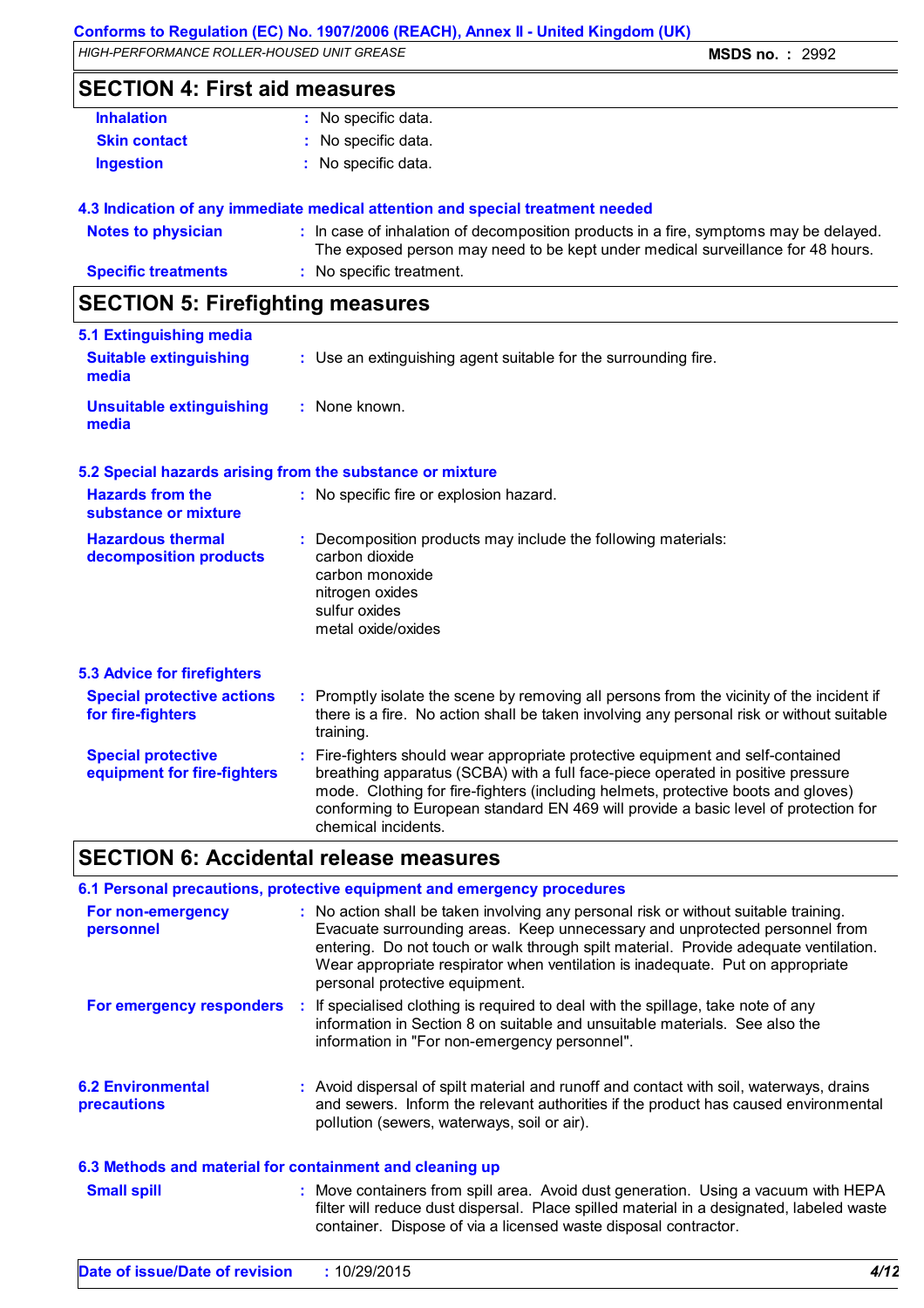### **Conforms to Regulation (EC) No. 1907/2006 (REACH), Annex II - United Kingdom (UK)**

*HIGH-PERFORMANCE ROLLER-HOUSED UNIT GREASE* **MSDS no. :** 2992

# **SECTION 4: First aid measures**

| : No specific data. |
|---------------------|
| : No specific data. |
| : No specific data. |
|                     |

### **4.3 Indication of any immediate medical attention and special treatment needed**

| Notes to physician         | In case of inhalation of decomposition products in a fire, symptoms may be delayed.<br>The exposed person may need to be kept under medical surveillance for 48 hours. |
|----------------------------|------------------------------------------------------------------------------------------------------------------------------------------------------------------------|
| <b>Specific treatments</b> | No specific treatment.                                                                                                                                                 |
|                            |                                                                                                                                                                        |

# **SECTION 5: Firefighting measures**

| 5.1 Extinguishing media                |                                                                 |
|----------------------------------------|-----------------------------------------------------------------|
| <b>Suitable extinguishing</b><br>media | : Use an extinguishing agent suitable for the surrounding fire. |
| Unsuitable extinguishing<br>media      | : None known.                                                   |

### **5.2 Special hazards arising from the substance or mixture**

| <b>Hazards from the</b><br>substance or mixture        | : No specific fire or explosion hazard.                                                                                                                                                                 |
|--------------------------------------------------------|---------------------------------------------------------------------------------------------------------------------------------------------------------------------------------------------------------|
| <b>Hazardous thermal</b><br>decomposition products     | : Decomposition products may include the following materials:<br>carbon dioxide<br>carbon monoxide<br>nitrogen oxides<br>sulfur oxides<br>metal oxide/oxides                                            |
| <b>5.3 Advice for firefighters</b>                     |                                                                                                                                                                                                         |
| <b>Special protective actions</b><br>for fire-fighters | Promptly isolate the scene by removing all persons from the vicinity of the incident if<br>÷.<br>there is a fire. No action shall be taken involving any personal risk or without suitable<br>training. |

| <b>Special protective</b><br>equipment for fire-fighters | : Fire-fighters should wear appropriate protective equipment and self-contained<br>breathing apparatus (SCBA) with a full face-piece operated in positive pressure<br>mode. Clothing for fire-fighters (including helmets, protective boots and gloves)<br>conforming to European standard EN 469 will provide a basic level of protection for |
|----------------------------------------------------------|------------------------------------------------------------------------------------------------------------------------------------------------------------------------------------------------------------------------------------------------------------------------------------------------------------------------------------------------|
|                                                          | chemical incidents.                                                                                                                                                                                                                                                                                                                            |

# **SECTION 6: Accidental release measures**

|                                                          | 6.1 Personal precautions, protective equipment and emergency procedures                                                                                                                                                                                                                                                                                                         |
|----------------------------------------------------------|---------------------------------------------------------------------------------------------------------------------------------------------------------------------------------------------------------------------------------------------------------------------------------------------------------------------------------------------------------------------------------|
| For non-emergency<br>personnel                           | : No action shall be taken involving any personal risk or without suitable training.<br>Evacuate surrounding areas. Keep unnecessary and unprotected personnel from<br>entering. Do not touch or walk through spilt material. Provide adequate ventilation.<br>Wear appropriate respirator when ventilation is inadequate. Put on appropriate<br>personal protective equipment. |
| For emergency responders                                 | : If specialised clothing is required to deal with the spillage, take note of any<br>information in Section 8 on suitable and unsuitable materials. See also the<br>information in "For non-emergency personnel".                                                                                                                                                               |
| <b>6.2 Environmental</b><br><b>precautions</b>           | : Avoid dispersal of spilt material and runoff and contact with soil, waterways, drains<br>and sewers. Inform the relevant authorities if the product has caused environmental<br>pollution (sewers, waterways, soil or air).                                                                                                                                                   |
| 6.3 Methods and material for containment and cleaning up |                                                                                                                                                                                                                                                                                                                                                                                 |
| <b>Small spill</b>                                       | : Move containers from spill area. Avoid dust generation. Using a vacuum with HEPA<br>filter will reduce dust dispersal. Place spilled material in a designated, labeled waste<br>container. Dispose of via a licensed waste disposal contractor.                                                                                                                               |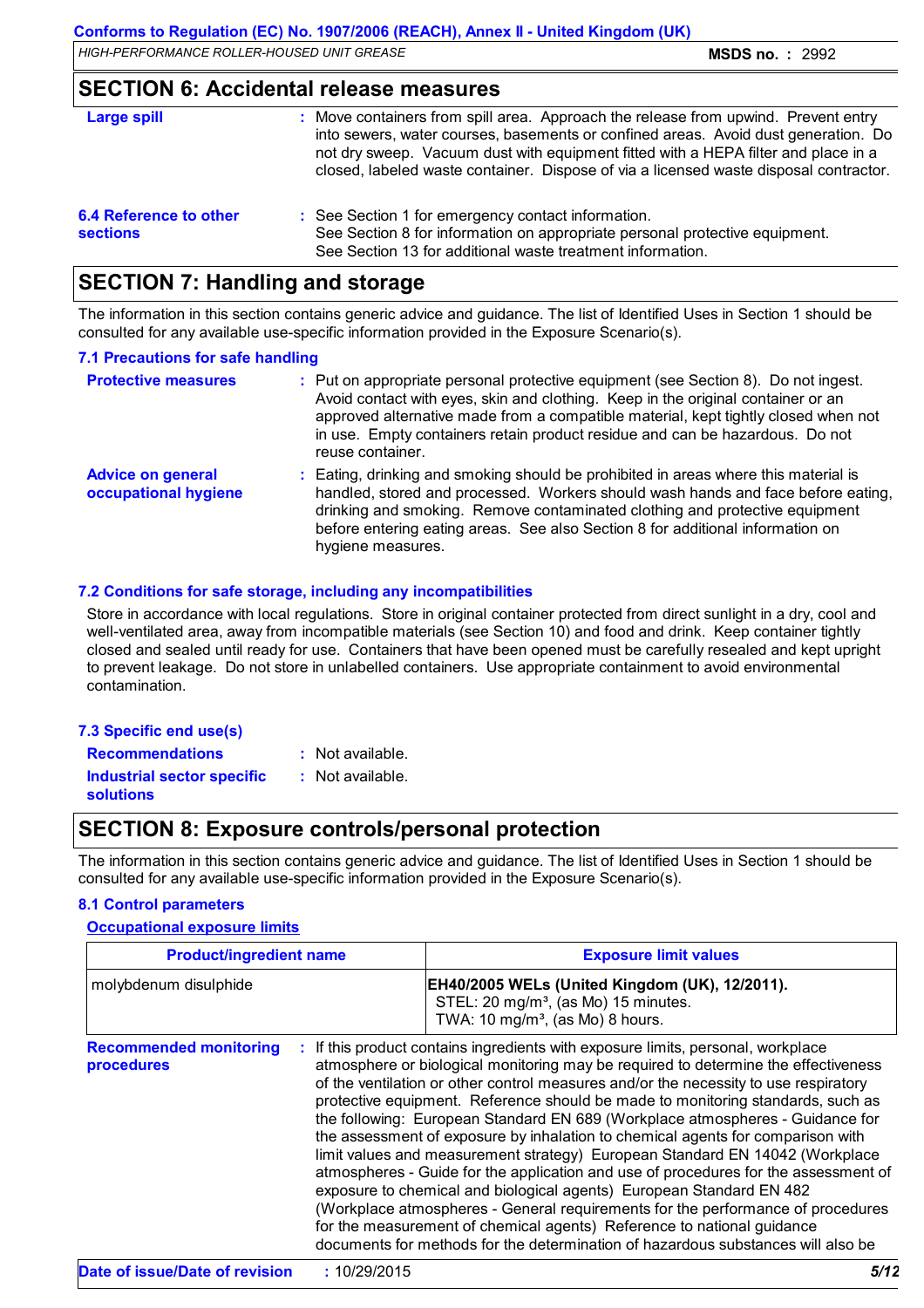**SECTION 6: Accidental release measures**

| <u>ULUTTUI U. AUURUHUI TURUUD IIIVUUH VU</u>     |                                                                                                                                                                                                                                                                                                                                                         |  |  |  |
|--------------------------------------------------|---------------------------------------------------------------------------------------------------------------------------------------------------------------------------------------------------------------------------------------------------------------------------------------------------------------------------------------------------------|--|--|--|
| Large spill                                      | : Move containers from spill area. Approach the release from upwind. Prevent entry<br>into sewers, water courses, basements or confined areas. Avoid dust generation. Do<br>not dry sweep. Vacuum dust with equipment fitted with a HEPA filter and place in a<br>closed, labeled waste container. Dispose of via a licensed waste disposal contractor. |  |  |  |
| <b>6.4 Reference to other</b><br><b>sections</b> | : See Section 1 for emergency contact information.<br>See Section 8 for information on appropriate personal protective equipment.<br>See Section 13 for additional waste treatment information.                                                                                                                                                         |  |  |  |

### **SECTION 7: Handling and storage**

The information in this section contains generic advice and guidance. The list of Identified Uses in Section 1 should be consulted for any available use-specific information provided in the Exposure Scenario(s).

#### **7.1 Precautions for safe handling**

| <b>Protective measures</b>                       | : Put on appropriate personal protective equipment (see Section 8). Do not ingest.<br>Avoid contact with eyes, skin and clothing. Keep in the original container or an<br>approved alternative made from a compatible material, kept tightly closed when not<br>in use. Empty containers retain product residue and can be hazardous. Do not<br>reuse container. |
|--------------------------------------------------|------------------------------------------------------------------------------------------------------------------------------------------------------------------------------------------------------------------------------------------------------------------------------------------------------------------------------------------------------------------|
| <b>Advice on general</b><br>occupational hygiene | : Eating, drinking and smoking should be prohibited in areas where this material is<br>handled, stored and processed. Workers should wash hands and face before eating,<br>drinking and smoking. Remove contaminated clothing and protective equipment<br>before entering eating areas. See also Section 8 for additional information on<br>hygiene measures.    |

### **7.2 Conditions for safe storage, including any incompatibilities**

Store in accordance with local regulations. Store in original container protected from direct sunlight in a dry, cool and well-ventilated area, away from incompatible materials (see Section 10) and food and drink. Keep container tightly closed and sealed until ready for use. Containers that have been opened must be carefully resealed and kept upright to prevent leakage. Do not store in unlabelled containers. Use appropriate containment to avoid environmental contamination.

| 7.3 Specific end use(s)           |     |  |
|-----------------------------------|-----|--|
| <b>Recommendations</b>            | ÷Ν  |  |
| <b>Industrial sector specific</b> | : N |  |

: Not available.

# **solutions**

- 
- : Not available.

# **SECTION 8: Exposure controls/personal protection**

The information in this section contains generic advice and guidance. The list of Identified Uses in Section 1 should be consulted for any available use-specific information provided in the Exposure Scenario(s).

#### **8.1 Control parameters**

#### **Occupational exposure limits**

| <b>Product/ingredient name</b>              |  | <b>Exposure limit values</b>                                                                                                                                                                                                                                                                                                                                                                                                                                                                                                                                                                                                                                                                                                                                                                                                                                                                                                                                                                                        |  |  |
|---------------------------------------------|--|---------------------------------------------------------------------------------------------------------------------------------------------------------------------------------------------------------------------------------------------------------------------------------------------------------------------------------------------------------------------------------------------------------------------------------------------------------------------------------------------------------------------------------------------------------------------------------------------------------------------------------------------------------------------------------------------------------------------------------------------------------------------------------------------------------------------------------------------------------------------------------------------------------------------------------------------------------------------------------------------------------------------|--|--|
| molybdenum disulphide                       |  | EH40/2005 WELs (United Kingdom (UK), 12/2011).<br>STEL: 20 mg/m <sup>3</sup> , (as Mo) 15 minutes.<br>TWA: 10 mg/m <sup>3</sup> , (as Mo) 8 hours.                                                                                                                                                                                                                                                                                                                                                                                                                                                                                                                                                                                                                                                                                                                                                                                                                                                                  |  |  |
| <b>Recommended monitoring</b><br>procedures |  | If this product contains ingredients with exposure limits, personal, workplace<br>atmosphere or biological monitoring may be required to determine the effectiveness<br>of the ventilation or other control measures and/or the necessity to use respiratory<br>protective equipment. Reference should be made to monitoring standards, such as<br>the following: European Standard EN 689 (Workplace atmospheres - Guidance for<br>the assessment of exposure by inhalation to chemical agents for comparison with<br>limit values and measurement strategy) European Standard EN 14042 (Workplace<br>atmospheres - Guide for the application and use of procedures for the assessment of<br>exposure to chemical and biological agents) European Standard EN 482<br>(Workplace atmospheres - General requirements for the performance of procedures<br>for the measurement of chemical agents) Reference to national guidance<br>documents for methods for the determination of hazardous substances will also be |  |  |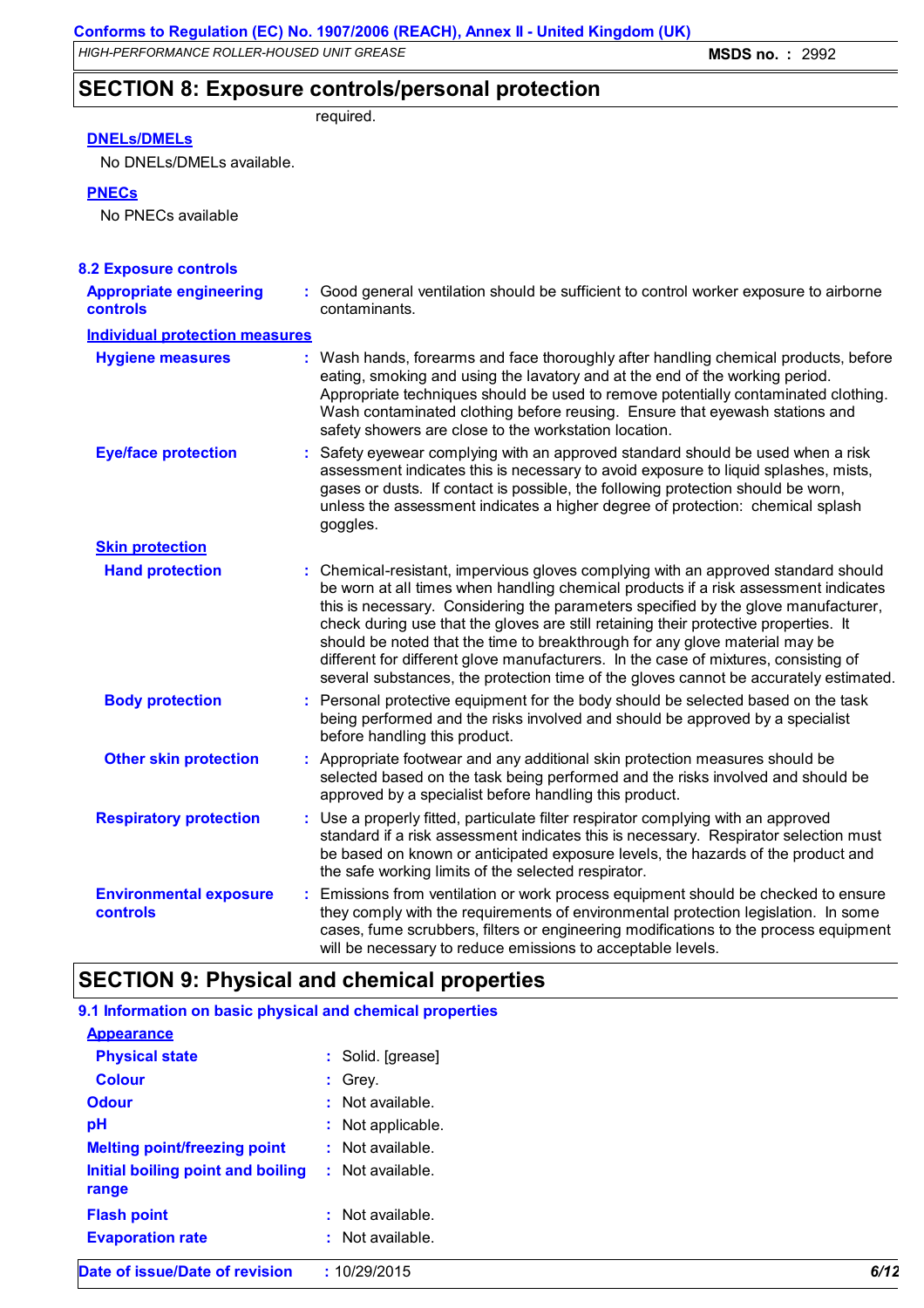# **SECTION 8: Exposure controls/personal protection**

required.

### **DNELs/DMELs**

No DNELs/DMELs available.

**PNECs**

No PNECs available

| <b>8.2 Exposure controls</b>               |                                                                                                                                                                                                                                                                                                                                                                                                                                                                                                                                                                                                                        |
|--------------------------------------------|------------------------------------------------------------------------------------------------------------------------------------------------------------------------------------------------------------------------------------------------------------------------------------------------------------------------------------------------------------------------------------------------------------------------------------------------------------------------------------------------------------------------------------------------------------------------------------------------------------------------|
| <b>Appropriate engineering</b><br>controls | : Good general ventilation should be sufficient to control worker exposure to airborne<br>contaminants.                                                                                                                                                                                                                                                                                                                                                                                                                                                                                                                |
| <b>Individual protection measures</b>      |                                                                                                                                                                                                                                                                                                                                                                                                                                                                                                                                                                                                                        |
| <b>Hygiene measures</b>                    | : Wash hands, forearms and face thoroughly after handling chemical products, before<br>eating, smoking and using the lavatory and at the end of the working period.<br>Appropriate techniques should be used to remove potentially contaminated clothing.<br>Wash contaminated clothing before reusing. Ensure that eyewash stations and<br>safety showers are close to the workstation location.                                                                                                                                                                                                                      |
| <b>Eye/face protection</b>                 | Safety eyewear complying with an approved standard should be used when a risk<br>÷.<br>assessment indicates this is necessary to avoid exposure to liquid splashes, mists,<br>gases or dusts. If contact is possible, the following protection should be worn,<br>unless the assessment indicates a higher degree of protection: chemical splash<br>goggles.                                                                                                                                                                                                                                                           |
| <b>Skin protection</b>                     |                                                                                                                                                                                                                                                                                                                                                                                                                                                                                                                                                                                                                        |
| <b>Hand protection</b>                     | : Chemical-resistant, impervious gloves complying with an approved standard should<br>be worn at all times when handling chemical products if a risk assessment indicates<br>this is necessary. Considering the parameters specified by the glove manufacturer,<br>check during use that the gloves are still retaining their protective properties. It<br>should be noted that the time to breakthrough for any glove material may be<br>different for different glove manufacturers. In the case of mixtures, consisting of<br>several substances, the protection time of the gloves cannot be accurately estimated. |
| <b>Body protection</b>                     | : Personal protective equipment for the body should be selected based on the task<br>being performed and the risks involved and should be approved by a specialist<br>before handling this product.                                                                                                                                                                                                                                                                                                                                                                                                                    |
| <b>Other skin protection</b>               | Appropriate footwear and any additional skin protection measures should be<br>selected based on the task being performed and the risks involved and should be<br>approved by a specialist before handling this product.                                                                                                                                                                                                                                                                                                                                                                                                |
| <b>Respiratory protection</b>              | : Use a properly fitted, particulate filter respirator complying with an approved<br>standard if a risk assessment indicates this is necessary. Respirator selection must<br>be based on known or anticipated exposure levels, the hazards of the product and<br>the safe working limits of the selected respirator.                                                                                                                                                                                                                                                                                                   |
| <b>Environmental exposure</b><br>controls  | Emissions from ventilation or work process equipment should be checked to ensure<br>÷<br>they comply with the requirements of environmental protection legislation. In some<br>cases, fume scrubbers, filters or engineering modifications to the process equipment<br>will be necessary to reduce emissions to acceptable levels.                                                                                                                                                                                                                                                                                     |

# **SECTION 9: Physical and chemical properties**

| Date of issue/Date of revision                                                    | : 10/29/2015       | 6/12 |
|-----------------------------------------------------------------------------------|--------------------|------|
| <b>Evaporation rate</b>                                                           | $:$ Not available. |      |
| <b>Flash point</b>                                                                | $:$ Not available. |      |
| <b>Melting point/freezing point</b><br>Initial boiling point and boiling<br>range | $:$ Not available. |      |
|                                                                                   | $:$ Not available. |      |
| pH                                                                                | : Not applicable.  |      |
| <b>Odour</b>                                                                      | $:$ Not available. |      |
| <b>Colour</b>                                                                     | $:$ Grey.          |      |
| <b>Physical state</b>                                                             | : Solid. [grease]  |      |
| <b>Appearance</b>                                                                 |                    |      |
| 9.1 Information on basic physical and chemical properties                         |                    |      |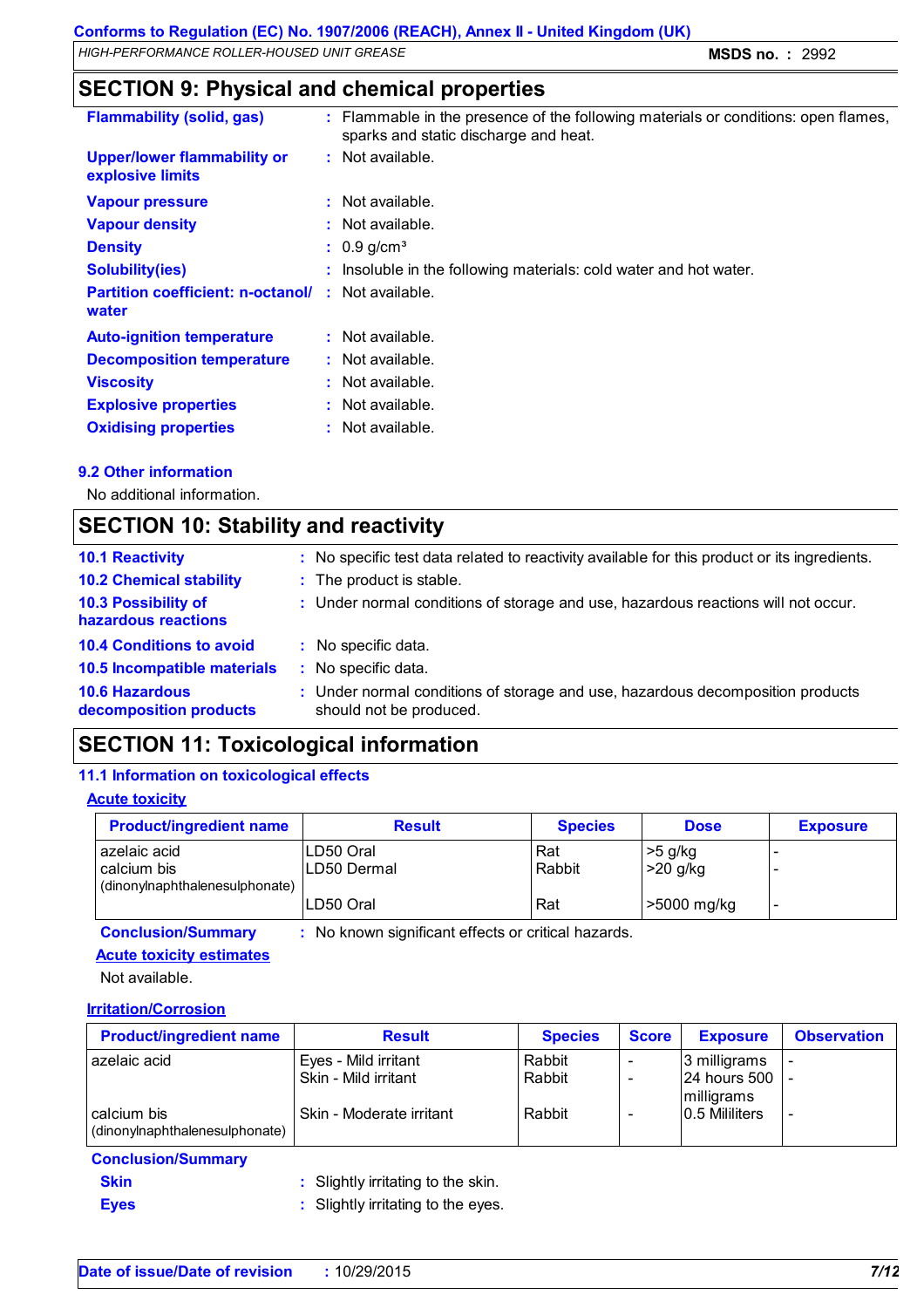# **SECTION 9: Physical and chemical properties**

| <b>Flammability (solid, gas)</b>                       | : Flammable in the presence of the following materials or conditions: open flames,<br>sparks and static discharge and heat. |
|--------------------------------------------------------|-----------------------------------------------------------------------------------------------------------------------------|
| <b>Upper/lower flammability or</b><br>explosive limits | : Not available.                                                                                                            |
| <b>Vapour pressure</b>                                 | $:$ Not available.                                                                                                          |
| <b>Vapour density</b>                                  | $:$ Not available.                                                                                                          |
| <b>Density</b>                                         | $: 0.9$ g/cm <sup>3</sup>                                                                                                   |
| <b>Solubility(ies)</b>                                 | : Insoluble in the following materials: cold water and hot water.                                                           |
| <b>Partition coefficient: n-octanol/</b><br>water      | $:$ Not available.                                                                                                          |
| <b>Auto-ignition temperature</b>                       | $:$ Not available.                                                                                                          |
| <b>Decomposition temperature</b>                       | $:$ Not available.                                                                                                          |
| <b>Viscosity</b>                                       | $:$ Not available.                                                                                                          |
| <b>Explosive properties</b>                            | $:$ Not available.                                                                                                          |
| <b>Oxidising properties</b>                            | : Not available.                                                                                                            |

### **9.2 Other information**

No additional information.

# **SECTION 10: Stability and reactivity**

| : No specific test data related to reactivity available for this product or its ingredients. |
|----------------------------------------------------------------------------------------------|
|                                                                                              |
| : Under normal conditions of storage and use, hazardous reactions will not occur.            |
|                                                                                              |
|                                                                                              |
| : Under normal conditions of storage and use, hazardous decomposition products               |
|                                                                                              |

# **SECTION 11: Toxicological information**

#### **11.1 Information on toxicological effects**

#### **Acute toxicity**

| <b>Product/ingredient name</b>                                  | <b>Result</b>            | <b>Species</b> | <b>Dose</b>             | <b>Exposure</b>          |
|-----------------------------------------------------------------|--------------------------|----------------|-------------------------|--------------------------|
| l azelaic acid<br>calcium bis<br>(dinonylnaphthalenesulphonate) | LD50 Oral<br>LD50 Dermal | Rat<br>Rabbit  | $>5$ g/kg<br>$>20$ g/kg | $\overline{\phantom{0}}$ |
|                                                                 | LD50 Oral                | Rat            | >5000 mg/kg             | $\overline{\phantom{0}}$ |

**Conclusion/Summary :** No known significant effects or critical hazards.

### **Acute toxicity estimates**

Not available.

#### **Irritation/Corrosion**

| <b>Product/ingredient name</b>                | <b>Result</b>            | <b>Species</b> | <b>Score</b> | <b>Exposure</b>                             | <b>Observation</b>       |
|-----------------------------------------------|--------------------------|----------------|--------------|---------------------------------------------|--------------------------|
| azelaic acid                                  | Eyes - Mild irritant     | Rabbit         |              | 3 milligrams                                | $\overline{\phantom{a}}$ |
|                                               | Skin - Mild irritant     | Rabbit         |              | $ 24$ hours 500 $ $ -<br><i>Imilligrams</i> |                          |
| calcium bis<br>(dinonylnaphthalenesulphonate) | Skin - Moderate irritant | Rabbit         |              | 0.5 Mililiters                              | $\overline{\phantom{a}}$ |

#### **Conclusion/Summary**

- **Skin :** Slightly irritating to the skin.
- **Eyes :** Slightly irritating to the eyes.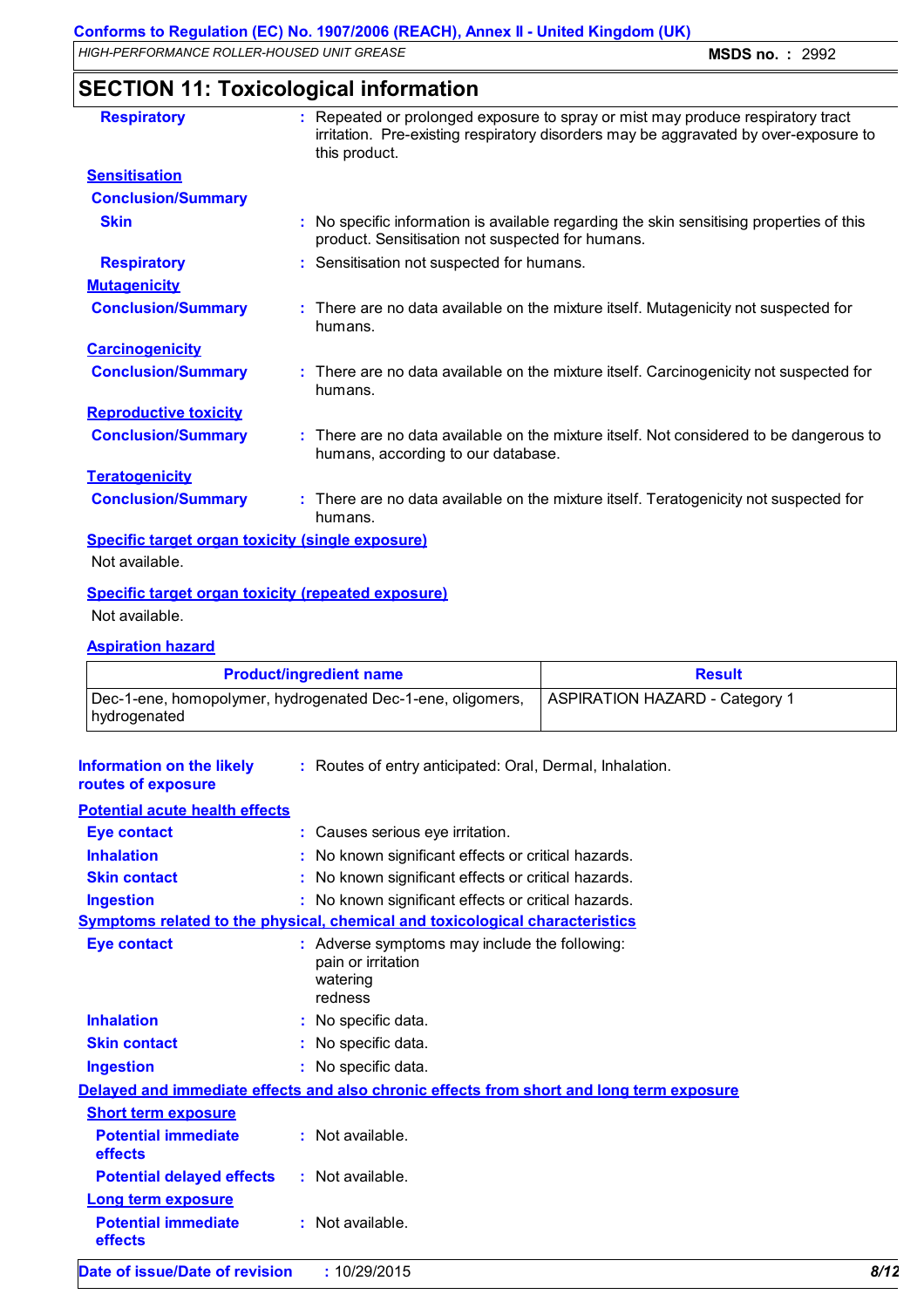# **SECTION 11: Toxicological information**

| <b>Respiratory</b>                                      | : Repeated or prolonged exposure to spray or mist may produce respiratory tract<br>irritation. Pre-existing respiratory disorders may be aggravated by over-exposure to<br>this product. |
|---------------------------------------------------------|------------------------------------------------------------------------------------------------------------------------------------------------------------------------------------------|
| <b>Sensitisation</b>                                    |                                                                                                                                                                                          |
| <b>Conclusion/Summary</b>                               |                                                                                                                                                                                          |
| <b>Skin</b>                                             | : No specific information is available regarding the skin sensitising properties of this<br>product. Sensitisation not suspected for humans.                                             |
| <b>Respiratory</b>                                      | : Sensitisation not suspected for humans.                                                                                                                                                |
| <b>Mutagenicity</b>                                     |                                                                                                                                                                                          |
| <b>Conclusion/Summary</b>                               | : There are no data available on the mixture itself. Mutagenicity not suspected for<br>humans.                                                                                           |
| <b>Carcinogenicity</b>                                  |                                                                                                                                                                                          |
| <b>Conclusion/Summary</b>                               | : There are no data available on the mixture itself. Carcinogenicity not suspected for<br>humans.                                                                                        |
| <b>Reproductive toxicity</b>                            |                                                                                                                                                                                          |
| <b>Conclusion/Summary</b>                               | : There are no data available on the mixture itself. Not considered to be dangerous to<br>humans, according to our database.                                                             |
| <b>Teratogenicity</b>                                   |                                                                                                                                                                                          |
| <b>Conclusion/Summary</b>                               | : There are no data available on the mixture itself. Teratogenicity not suspected for<br>humans.                                                                                         |
| <b>Specific target organ toxicity (single exposure)</b> |                                                                                                                                                                                          |
| Not available.                                          |                                                                                                                                                                                          |
|                                                         | <b>Specific target organ toxicity (repeated exposure)</b>                                                                                                                                |
| Not available.                                          |                                                                                                                                                                                          |

### **Aspiration hazard**

| <b>Product/ingredient name</b>                                               | <b>Result</b>                         |
|------------------------------------------------------------------------------|---------------------------------------|
| Dec-1-ene, homopolymer, hydrogenated Dec-1-ene, oligomers,<br>  hydrogenated | <b>ASPIRATION HAZARD - Category 1</b> |

| <b>Information on the likely</b> | : Routes of entry anticipated: Oral, Dermal, Inhalation. |
|----------------------------------|----------------------------------------------------------|
|                                  |                                                          |

| routes of exposure                    |                                                                                            |      |
|---------------------------------------|--------------------------------------------------------------------------------------------|------|
| <b>Potential acute health effects</b> |                                                                                            |      |
| <b>Eye contact</b>                    | : Causes serious eye irritation.                                                           |      |
| <b>Inhalation</b>                     | : No known significant effects or critical hazards.                                        |      |
| <b>Skin contact</b>                   | : No known significant effects or critical hazards.                                        |      |
| <b>Ingestion</b>                      | : No known significant effects or critical hazards.                                        |      |
|                                       | Symptoms related to the physical, chemical and toxicological characteristics               |      |
| <b>Eye contact</b>                    | : Adverse symptoms may include the following:<br>pain or irritation<br>watering<br>redness |      |
| <b>Inhalation</b>                     | : No specific data.                                                                        |      |
| <b>Skin contact</b>                   | : No specific data.                                                                        |      |
| <b>Ingestion</b>                      | : No specific data.                                                                        |      |
|                                       | Delayed and immediate effects and also chronic effects from short and long term exposure   |      |
| <b>Short term exposure</b>            |                                                                                            |      |
| <b>Potential immediate</b><br>effects | : Not available.                                                                           |      |
| <b>Potential delayed effects</b>      | : Not available.                                                                           |      |
| <b>Long term exposure</b>             |                                                                                            |      |
| <b>Potential immediate</b><br>effects | : Not available.                                                                           |      |
| Date of issue/Date of revision        | : 10/29/2015                                                                               | 8/12 |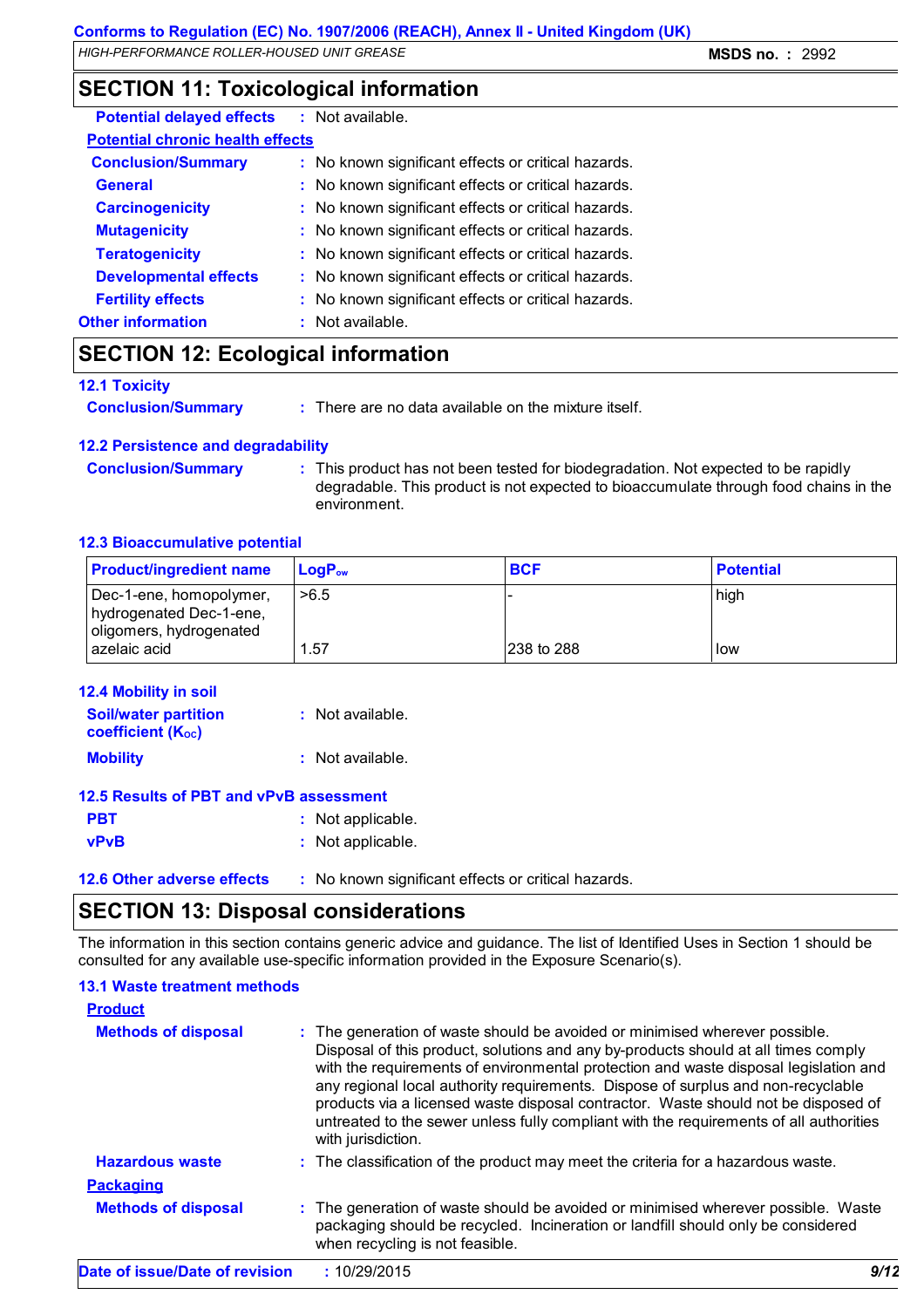# **SECTION 11: Toxicological information**

| <b>Potential delayed effects : Not available.</b> |                                                     |
|---------------------------------------------------|-----------------------------------------------------|
| <b>Potential chronic health effects</b>           |                                                     |
| <b>Conclusion/Summary</b>                         | : No known significant effects or critical hazards. |
| <b>General</b>                                    | : No known significant effects or critical hazards. |
| <b>Carcinogenicity</b>                            | : No known significant effects or critical hazards. |
| <b>Mutagenicity</b>                               | : No known significant effects or critical hazards. |
| <b>Teratogenicity</b>                             | : No known significant effects or critical hazards. |
| <b>Developmental effects</b>                      | : No known significant effects or critical hazards. |
| <b>Fertility effects</b>                          | : No known significant effects or critical hazards. |
| <b>Other information</b>                          | $:$ Not available.                                  |

# **SECTION 12: Ecological information**

#### **12.1 Toxicity**

**Conclusion/Summary :** There are no data available on the mixture itself.

### **12.2 Persistence and degradability**

**Conclusion/Summary :** This product has not been tested for biodegradation. Not expected to be rapidly degradable. This product is not expected to bioaccumulate through food chains in the environment.

### **12.3 Bioaccumulative potential**

| <b>Product/ingredient name</b>                                                | $LoaPow$ | <b>BCF</b> | <b>Potential</b> |
|-------------------------------------------------------------------------------|----------|------------|------------------|
| Dec-1-ene, homopolymer,<br>hydrogenated Dec-1-ene,<br>oligomers, hydrogenated | >6.5     |            | high             |
| azelaic acid                                                                  | . .57    | 238 to 288 | l low            |

| <b>12.4 Mobility in soil</b>                            |                   |
|---------------------------------------------------------|-------------------|
| <b>Soil/water partition</b><br><b>coefficient (Koc)</b> | : Not available.  |
| <b>Mobility</b>                                         | : Not available.  |
| 12.5 Results of PBT and vPvB assessment                 |                   |
| <b>PBT</b>                                              | : Not applicable. |
| <b>vPvB</b>                                             | : Not applicable. |
|                                                         |                   |

**12.6 Other adverse effects** : No known significant effects or critical hazards.

# **SECTION 13: Disposal considerations**

The information in this section contains generic advice and guidance. The list of Identified Uses in Section 1 should be consulted for any available use-specific information provided in the Exposure Scenario(s).

### **13.1 Waste treatment methods**

| <b>Product</b>                 |  |                                                                                                                                                                                                                                                                                                                                                                                                                                                                                                                                                     |      |
|--------------------------------|--|-----------------------------------------------------------------------------------------------------------------------------------------------------------------------------------------------------------------------------------------------------------------------------------------------------------------------------------------------------------------------------------------------------------------------------------------------------------------------------------------------------------------------------------------------------|------|
| <b>Methods of disposal</b>     |  | : The generation of waste should be avoided or minimised wherever possible.<br>Disposal of this product, solutions and any by-products should at all times comply<br>with the requirements of environmental protection and waste disposal legislation and<br>any regional local authority requirements. Dispose of surplus and non-recyclable<br>products via a licensed waste disposal contractor. Waste should not be disposed of<br>untreated to the sewer unless fully compliant with the requirements of all authorities<br>with jurisdiction. |      |
| <b>Hazardous waste</b>         |  | : The classification of the product may meet the criteria for a hazardous waste.                                                                                                                                                                                                                                                                                                                                                                                                                                                                    |      |
| <b>Packaging</b>               |  |                                                                                                                                                                                                                                                                                                                                                                                                                                                                                                                                                     |      |
| <b>Methods of disposal</b>     |  | : The generation of waste should be avoided or minimised wherever possible. Waste<br>packaging should be recycled. Incineration or landfill should only be considered<br>when recycling is not feasible.                                                                                                                                                                                                                                                                                                                                            |      |
| Date of issue/Date of revision |  | : 10/29/2015                                                                                                                                                                                                                                                                                                                                                                                                                                                                                                                                        | 9/12 |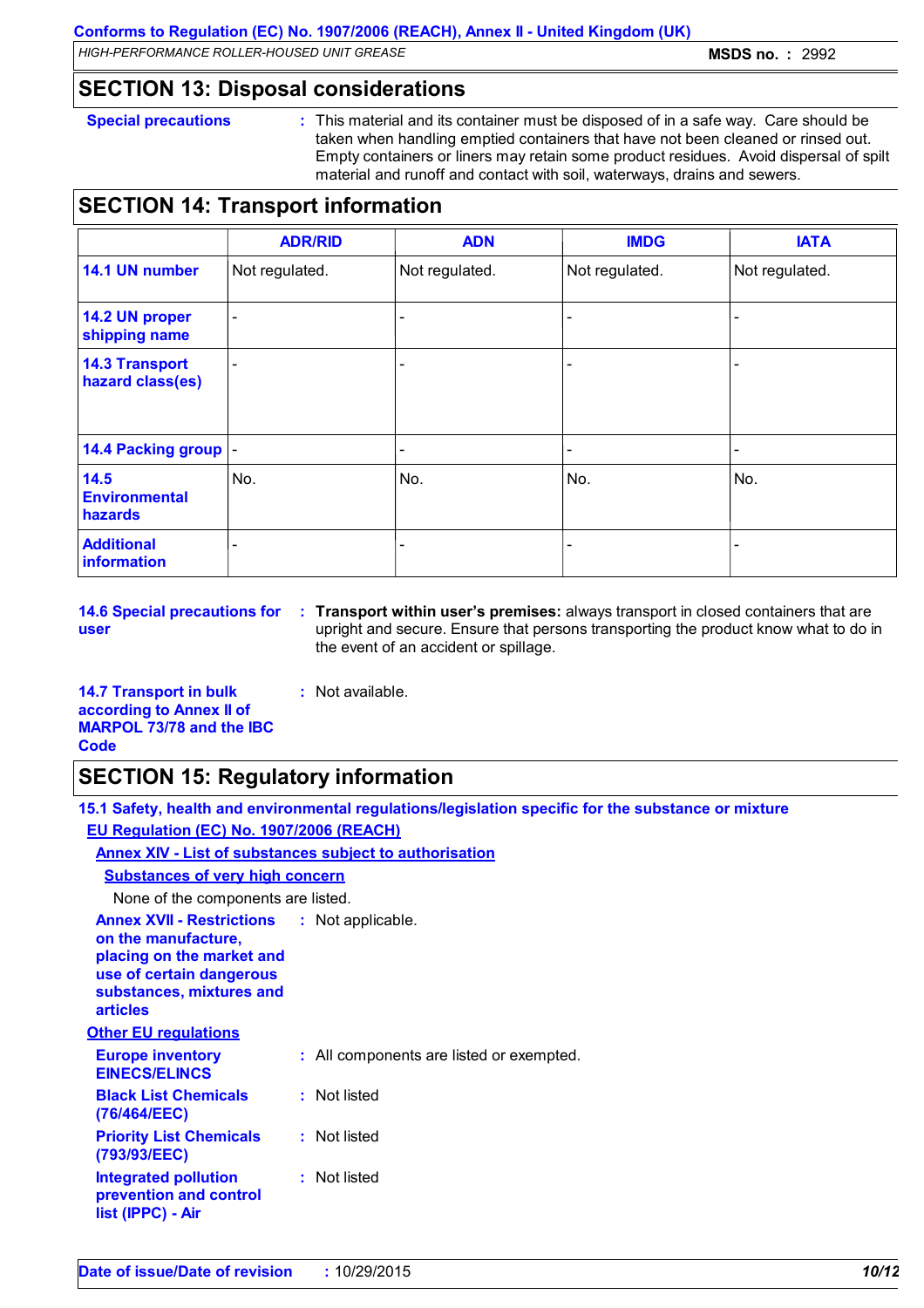### **SECTION 13: Disposal considerations**

**Special precautions :** This material and its container must be disposed of in a safe way. Care should be taken when handling emptied containers that have not been cleaned or rinsed out. Empty containers or liners may retain some product residues. Avoid dispersal of spilt material and runoff and contact with soil, waterways, drains and sewers.

# **SECTION 14: Transport information**

|                                           | <b>ADR/RID</b>           | <b>ADN</b>     | <b>IMDG</b>    | <b>IATA</b>    |
|-------------------------------------------|--------------------------|----------------|----------------|----------------|
| 14.1 UN number                            | Not regulated.           | Not regulated. | Not regulated. | Not regulated. |
| 14.2 UN proper<br>shipping name           | $\overline{\phantom{a}}$ |                |                |                |
| <b>14.3 Transport</b><br>hazard class(es) | $\overline{\phantom{a}}$ |                |                |                |
| 14.4 Packing group  -                     |                          |                |                | -              |
| 14.5<br><b>Environmental</b><br>hazards   | No.                      | No.            | No.            | No.            |
| <b>Additional</b><br>information          | -                        |                |                |                |

**14.6 Special precautions for user**

**Transport within user's premises:** always transport in closed containers that are **:** upright and secure. Ensure that persons transporting the product know what to do in the event of an accident or spillage.

**14.7 Transport in bulk according to Annex II of MARPOL 73/78 and the IBC Code**

# **SECTION 15: Regulatory information**

**15.1 Safety, health and environmental regulations/legislation specific for the substance or mixture EU Regulation (EC) No. 1907/2006 (REACH)**

**Annex XIV - List of substances subject to authorisation**

### **Substances of very high concern**

None of the components are listed.

| None of the components are listed.                                                                                                                              |                                          |
|-----------------------------------------------------------------------------------------------------------------------------------------------------------------|------------------------------------------|
| <b>Annex XVII - Restrictions</b><br>on the manufacture,<br>placing on the market and<br>use of certain dangerous<br>substances, mixtures and<br><b>articles</b> | : Not applicable.                        |
| <b>Other EU regulations</b>                                                                                                                                     |                                          |
| <b>Europe inventory</b><br><b>EINECS/ELINCS</b>                                                                                                                 | : All components are listed or exempted. |
| <b>Black List Chemicals</b><br>(76/464/EEC)                                                                                                                     | : Not listed                             |
|                                                                                                                                                                 |                                          |

**prevention and control** 

**list (IPPC) - Air**

**:** Not available.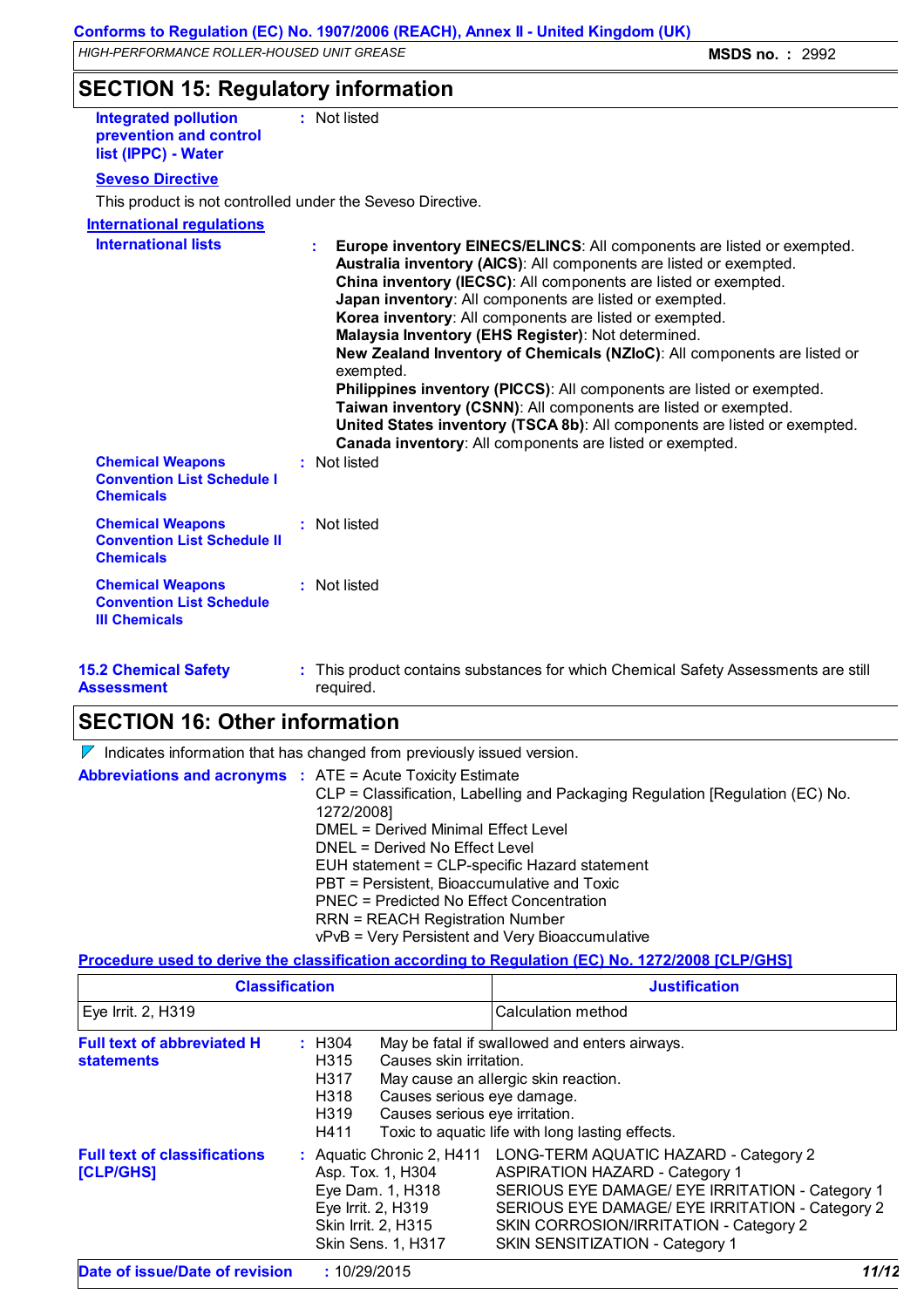**SECTION 15: Regulatory information**

**Integrated pollution prevention and control list (IPPC) - Water :** Not listed

### **Seveso Directive**

This product is not controlled under the Seveso Directive.

#### **International regulations**

| <b>International lists</b>                                                         | Europe inventory EINECS/ELINCS: All components are listed or exempted.<br>Australia inventory (AICS): All components are listed or exempted.<br>China inventory (IECSC): All components are listed or exempted.<br>Japan inventory: All components are listed or exempted.<br>Korea inventory: All components are listed or exempted.<br>Malaysia Inventory (EHS Register): Not determined.<br>New Zealand Inventory of Chemicals (NZIoC): All components are listed or<br>exempted.<br>Philippines inventory (PICCS): All components are listed or exempted.<br>Taiwan inventory (CSNN): All components are listed or exempted.<br>United States inventory (TSCA 8b): All components are listed or exempted.<br>Canada inventory: All components are listed or exempted. |  |
|------------------------------------------------------------------------------------|---------------------------------------------------------------------------------------------------------------------------------------------------------------------------------------------------------------------------------------------------------------------------------------------------------------------------------------------------------------------------------------------------------------------------------------------------------------------------------------------------------------------------------------------------------------------------------------------------------------------------------------------------------------------------------------------------------------------------------------------------------------------------|--|
| <b>Chemical Weapons</b><br><b>Convention List Schedule I</b><br><b>Chemicals</b>   | : Not listed                                                                                                                                                                                                                                                                                                                                                                                                                                                                                                                                                                                                                                                                                                                                                              |  |
| <b>Chemical Weapons</b><br><b>Convention List Schedule II</b><br><b>Chemicals</b>  | : Not listed                                                                                                                                                                                                                                                                                                                                                                                                                                                                                                                                                                                                                                                                                                                                                              |  |
| <b>Chemical Weapons</b><br><b>Convention List Schedule</b><br><b>III Chemicals</b> | : Not listed                                                                                                                                                                                                                                                                                                                                                                                                                                                                                                                                                                                                                                                                                                                                                              |  |

**15.2 Chemical Safety Assessment** This product contains substances for which Chemical Safety Assessments are still **:** required.

### **SECTION 16: Other information**

| <b>Abbreviations and acronyms : ATE = Acute Toxicity Estimate</b>                                                                                                                                                                                                                                                                                                                                             | $\nabla$ Indicates information that has changed from previously issued version. |
|---------------------------------------------------------------------------------------------------------------------------------------------------------------------------------------------------------------------------------------------------------------------------------------------------------------------------------------------------------------------------------------------------------------|---------------------------------------------------------------------------------|
| CLP = Classification, Labelling and Packaging Regulation [Regulation (EC) No.<br>1272/2008]<br>DMEL = Derived Minimal Effect Level<br>DNEL = Derived No Effect Level<br>EUH statement = CLP-specific Hazard statement<br>PBT = Persistent, Bioaccumulative and Toxic<br>PNEC = Predicted No Effect Concentration<br><b>RRN = REACH Registration Number</b><br>vPvB = Very Persistent and Very Bioaccumulative |                                                                                 |

### **Procedure used to derive the classification according to Regulation (EC) No. 1272/2008 [CLP/GHS]**

| <b>Classification</b>                                  |                                                                                                                                           | <b>Justification</b>                                                                                                                                                                                                                                                                               |
|--------------------------------------------------------|-------------------------------------------------------------------------------------------------------------------------------------------|----------------------------------------------------------------------------------------------------------------------------------------------------------------------------------------------------------------------------------------------------------------------------------------------------|
| Eye Irrit. 2, H319                                     |                                                                                                                                           | Calculation method                                                                                                                                                                                                                                                                                 |
| <b>Full text of abbreviated H</b><br><b>statements</b> | : H304<br>H315<br>Causes skin irritation.<br>H317<br>Causes serious eye damage.<br>H318<br>Causes serious eye irritation.<br>H319<br>H411 | May be fatal if swallowed and enters airways.<br>May cause an allergic skin reaction.<br>Toxic to aquatic life with long lasting effects.                                                                                                                                                          |
| <b>Full text of classifications</b><br>[CLP/GHS]       | Asp. Tox. 1, H304<br>Eye Dam. 1, H318<br>Eye Irrit. 2, H319<br>Skin Irrit. 2, H315<br><b>Skin Sens. 1, H317</b>                           | : Aquatic Chronic 2, H411 LONG-TERM AQUATIC HAZARD - Category 2<br><b>ASPIRATION HAZARD - Category 1</b><br>SERIOUS EYE DAMAGE/ EYE IRRITATION - Category 1<br>SERIOUS EYE DAMAGE/ EYE IRRITATION - Category 2<br>SKIN CORROSION/IRRITATION - Category 2<br><b>SKIN SENSITIZATION - Category 1</b> |
| Date of issue/Date of revision                         | : 10/29/2015                                                                                                                              | 11/12                                                                                                                                                                                                                                                                                              |